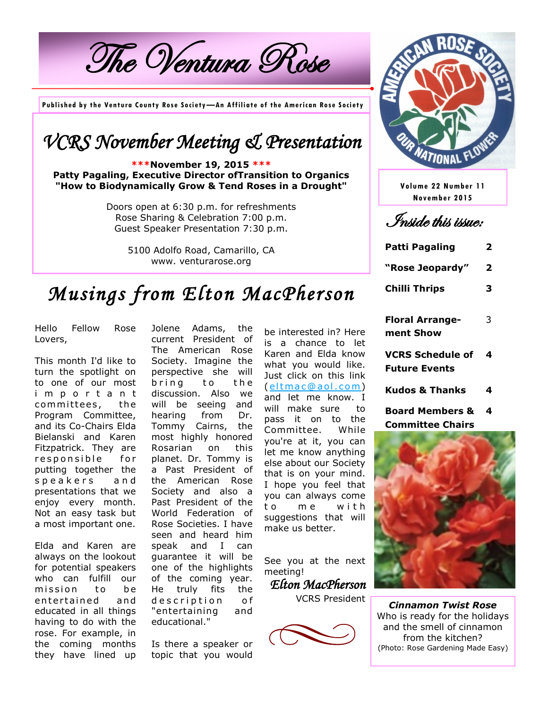The Ventura Rose

**Published by the Ventura County Rose Society—An Affiliate of the American Rose Society**

### *VCRS November Meeting & Presentation*

**\*\*\*November 19, 2015 \*\*\* Patty Pagaling, Executive Director ofTransition to Organics "How to Biodynamically Grow & Tend Roses in a Drought"**

> Doors open at 6:30 p.m. for refreshments Rose Sharing & Celebration 7:00 p.m. Guest Speaker Presentation 7:30 p.m.

> > 5100 Adolfo Road, Camarillo, CA www. venturarose.org



**Volume 22 Number 11 November 2015**

Inside this issue:

| Patti Pagaling       | 2 |
|----------------------|---|
| "Rose Jeopardy"      | 2 |
| <b>Chilli Thrips</b> | З |
|                      |   |

# *Musings from Elton MacPherson*

Hello Fellow Rose Lovers,

This month I'd like to turn the spotlight on to one of our most i m p o r t a n t committees, the Program Committee, and its Co-Chairs Elda Bielanski and Karen Fitzpatrick. They are responsible for putting together the speakers and presentations that we enjoy every month. Not an easy task but a most important one.

Elda and Karen are always on the lookout for potential speakers who can fulfill our mission to be entertained and educated in all things having to do with the rose. For example, in the coming months they have lined up

Jolene Adams, the current President of The American Rose Society. Imagine the perspective she will bring to the discussion. Also we will be seeing and hearing from Dr. Tommy Cairns, the most highly honored Rosarian on this planet. Dr. Tommy is a Past President of the American Rose Society and also a Past President of the World Federation of Rose Societies. I have seen and heard him speak and I can guarantee it will be one of the highlights of the coming year. He truly fits the d e s c ription of "entertaining and educational."

Is there a speaker or topic that you would

be interested in? Here is a chance to let Karen and Elda know what you would like. Just click on this link (eltmac@aol.com) and let me know. I will make sure to pass it on to the Committee. While you're at it, you can let me know anything else about our Society that is on your mind. I hope you feel that you can always come to me with suggestions that will make us better.

See you at the next meeting!

*Elton MacPherson* 

VCRS President



| <b>Floral Arrange-</b><br>ment Show             | 3 |
|-------------------------------------------------|---|
| <b>VCRS Schedule of</b><br><b>Future Events</b> | 4 |
| <b>Kudos &amp; Thanks</b>                       |   |

**Board Members & Committee Chairs 4**



*Cinnamon Twist Rose* Who is ready for the holidays and the smell of cinnamon from the kitchen? (Photo: Rose Gardening Made Easy)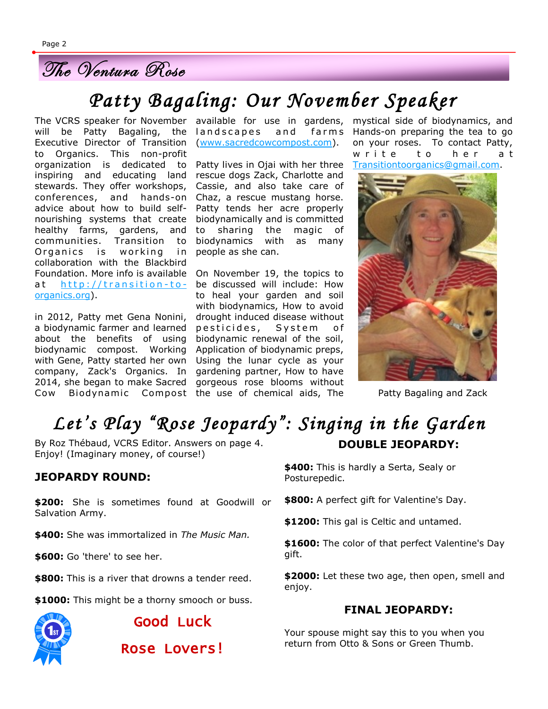### The Ventura Rose

# *Patty Bagaling: Our November Speaker*

will be Patty Bagaling, the landscapes and farms Executive Director of Transition (www.sacredcowcompost.com). to Organics. This non-profit organization is dedicated to inspiring and educating land stewards. They offer workshops, conferences, and hands-on Chaz, a rescue mustang horse. advice about how to build selfnourishing systems that create healthy farms, gardens, and communities. Transition to Organics is working in collaboration with the Blackbird Foundation. More info is available On November 19, the topics to at http://transition-to- be discussed will include: How organics.org).

in 2012, Patty met Gena Nonini, a biodynamic farmer and learned pesticides, System of about the benefits of using biodynamic renewal of the soil, biodynamic compost. Working Application of biodynamic preps, with Gene, Patty started her own Using the lunar cycle as your company, Zack's Organics. In gardening partner, How to have 2014, she began to make Sacred gorgeous rose blooms without Cow Biodynamic Compost the use of chemical aids, The

Patty lives in Ojai with her three rescue dogs Zack, Charlotte and Cassie, and also take care of Patty tends her acre properly biodynamically and is committed to sharing the magic of biodynamics with as many people as she can.

to heal your garden and soil with biodynamics, How to avoid drought induced disease without

The VCRS speaker for November available for use in gardens, mystical side of biodynamics, and Hands-on preparing the tea to go on your roses. To contact Patty, write to her at Transitiontoorganics@gmail.com.



Patty Bagaling and Zack

### *Let's Play "Rose Jeopardy": Singing in the Garden*  **DOUBLE JEOPARDY:**

By Roz Thébaud, VCRS Editor. Answers on page 4. Enjoy! (Imaginary money, of course!)

#### **JEOPARDY ROUND:**

**\$200:** She is sometimes found at Goodwill or Salvation Army.

**\$400:** She was immortalized in *The Music Man.*

**\$600:** Go 'there' to see her.

**\$800:** This is a river that drowns a tender reed.

**\$1000:** This might be a thorny smooch or buss.



Good Luck

Rose Lovers!

**\$400:** This is hardly a Serta, Sealy or Posturepedic.

**\$800:** A perfect gift for Valentine's Day.

**\$1200:** This gal is Celtic and untamed.

**\$1600:** The color of that perfect Valentine's Day gift.

**\$2000:** Let these two age, then open, smell and enjoy.

#### **FINAL JEOPARDY:**

Your spouse might say this to you when you return from Otto & Sons or Green Thumb.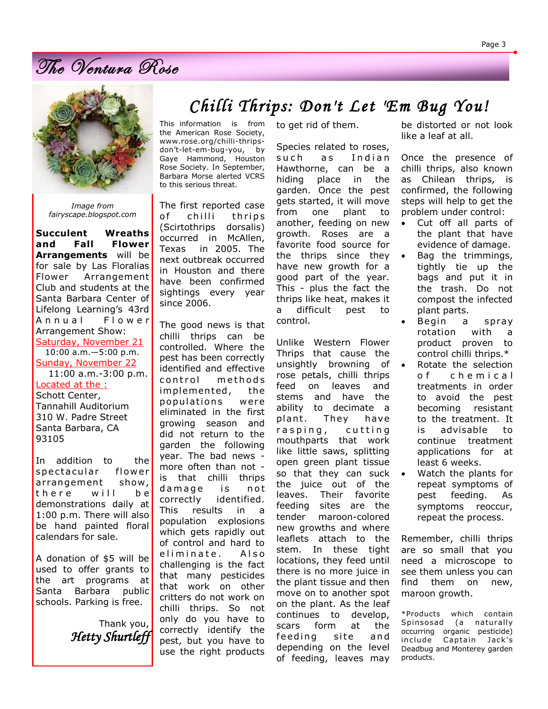## The Ventura Rose



*Image from fairyscape.blogspot.com*

**Succulent Wreaths and Fall Flower Arrangements** will be for sale by Las Floralias Flower Arrangement Club and students at the Santa Barbara Center of Lifelong Learning's 43rd Annual Flower Arrangement Show: Saturday, November 21 10:00 a.m.—5:00 p.m. Sunday, November 22 11:00 a.m.-3:00 p.m. Located at the : Schott Center, Tannahill Auditorium 310 W. Padre Street Santa Barbara, CA 93105

In addition to the spectacular flower arrangement show, there will be demonstrations daily at 1:00 p.m. There will also be hand painted floral calendars for sale.

A donation of \$5 will be used to offer grants to the art programs at Santa Barbara public schools. Parking is free.

> Thank you, *Hetty Shurtleff*

### *Chilli Thrips: Don't Let 'Em Bug You!*

This information is from the American Rose Society, www.rose.org/chilli-thripsdon't-let-em-bug-you, by Gaye Hammond, Houston Rose Society. In September, Barbara Morse alerted VCRS to this serious threat.

The first reported case of chilli thrips (Scirtothrips dorsalis) occurred in McAllen, Texas in 2005. The next outbreak occurred in Houston and there have been confirmed sightings every year since 2006.

The good news is that chilli thrips can be controlled. Where the pest has been correctly identified and effective control methods implemented, the populations were eliminated in the first growing season and did not return to the garden the following year. The bad news more often than not is that chilli thrips damage is not correctly identified. This results in a population explosions which gets rapidly out of control and hard to eliminate. Also challenging is the fact that many pesticides that work on other critters do not work on chilli thrips. So not only do you have to correctly identify the pest, but you have to use the right products to get rid of them.

Species related to roses, such as Indian Hawthorne, can be a hiding place in the garden. Once the pest gets started, it will move from one plant to another, feeding on new growth. Roses are a favorite food source for the thrips since they have new growth for a good part of the year. This - plus the fact the thrips like heat, makes it a difficult pest to control.

Unlike Western Flower Thrips that cause the unsightly browning of rose petals, chilli thrips feed on leaves and stems and have the ability to decimate a plant. They have rasping, cutting mouthparts that work like little saws, splitting open green plant tissue so that they can suck the juice out of the leaves. Their favorite feeding sites are the tender maroon-colored new growths and where leaflets attach to the stem. In these tight locations, they feed until there is no more juice in the plant tissue and then move on to another spot on the plant. As the leaf continues to develop, scars form at the feeding site and depending on the level of feeding, leaves may

be distorted or not look like a leaf at all.

Once the presence of chilli thrips, also known as Chilean thrips, is confirmed, the following steps will help to get the problem under control:

- Cut off all parts of the plant that have evidence of damage.
- Bag the trimmings, tightly tie up the bags and put it in the trash. Do not compost the infected plant parts.
- Begin a spray rotation with a product proven to control chilli thrips.\*
- Rotate the selection o f c h e m i c a l treatments in order to avoid the pest becoming resistant to the treatment. It is advisable to continue treatment applications for at least 6 weeks.
- Watch the plants for repeat symptoms of pest feeding. As symptoms reoccur, repeat the process.

Remember, chilli thrips are so small that you need a microscope to see them unless you can find them on new, maroon growth.

\*Products which contain Spinsosad (a naturally occurring organic pesticide) include Captain Jack's Deadbug and Monterey garden products.